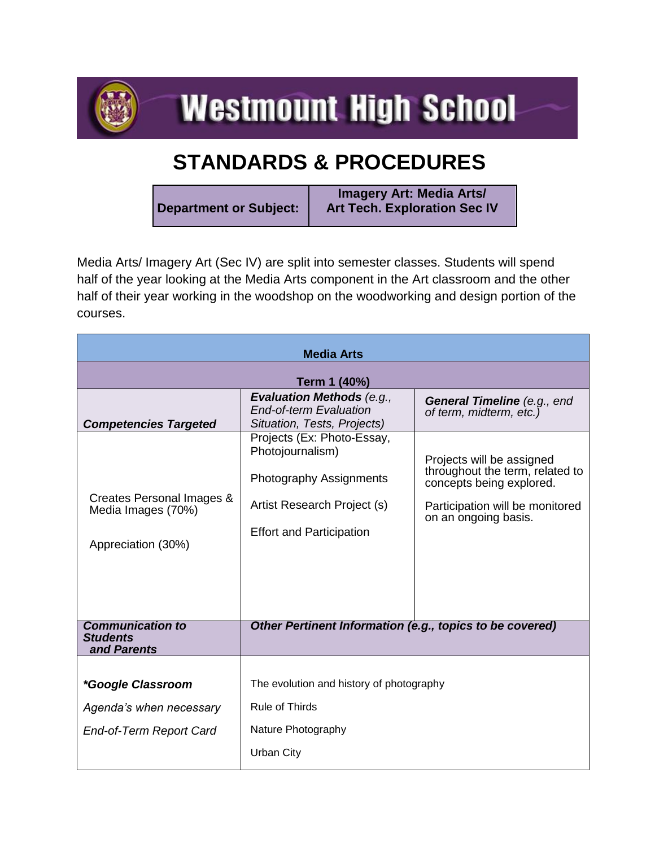

**Westmount High School** 

## **STANDARDS & PROCEDURES**

**Department or Subject: Imagery Art: Media Arts/ Art Tech. Exploration Sec IV**

Media Arts/ Imagery Art (Sec IV) are split into semester classes. Students will spend half of the year looking at the Media Arts component in the Art classroom and the other half of their year working in the woodshop on the woodworking and design portion of the courses.

| <b>Media Arts</b>                                                     |                                                                                                                                                    |                                                                                                                                                     |  |  |
|-----------------------------------------------------------------------|----------------------------------------------------------------------------------------------------------------------------------------------------|-----------------------------------------------------------------------------------------------------------------------------------------------------|--|--|
| Term 1 (40%)                                                          |                                                                                                                                                    |                                                                                                                                                     |  |  |
| <b>Competencies Targeted</b>                                          | <b>Evaluation Methods (e.g.,</b><br><b>End-of-term Evaluation</b><br>Situation, Tests, Projects)                                                   | General Timeline (e.g., end<br>of term, midterm, etc.)                                                                                              |  |  |
| Creates Personal Images &<br>Media Images (70%)<br>Appreciation (30%) | Projects (Ex: Photo-Essay,<br>Photojournalism)<br><b>Photography Assignments</b><br>Artist Research Project (s)<br><b>Effort and Participation</b> | Projects will be assigned<br>throughout the term, related to<br>concepts being explored.<br>Participation will be monitored<br>on an ongoing basis. |  |  |
| <b>Communication to</b><br><b>Students</b><br>and Parents             | Other Pertinent Information (e.g., topics to be covered)                                                                                           |                                                                                                                                                     |  |  |
| <i>*Google Classroom</i>                                              | The evolution and history of photography                                                                                                           |                                                                                                                                                     |  |  |
| Agenda's when necessary                                               | <b>Rule of Thirds</b>                                                                                                                              |                                                                                                                                                     |  |  |
| End-of-Term Report Card                                               | Nature Photography                                                                                                                                 |                                                                                                                                                     |  |  |
|                                                                       | <b>Urban City</b>                                                                                                                                  |                                                                                                                                                     |  |  |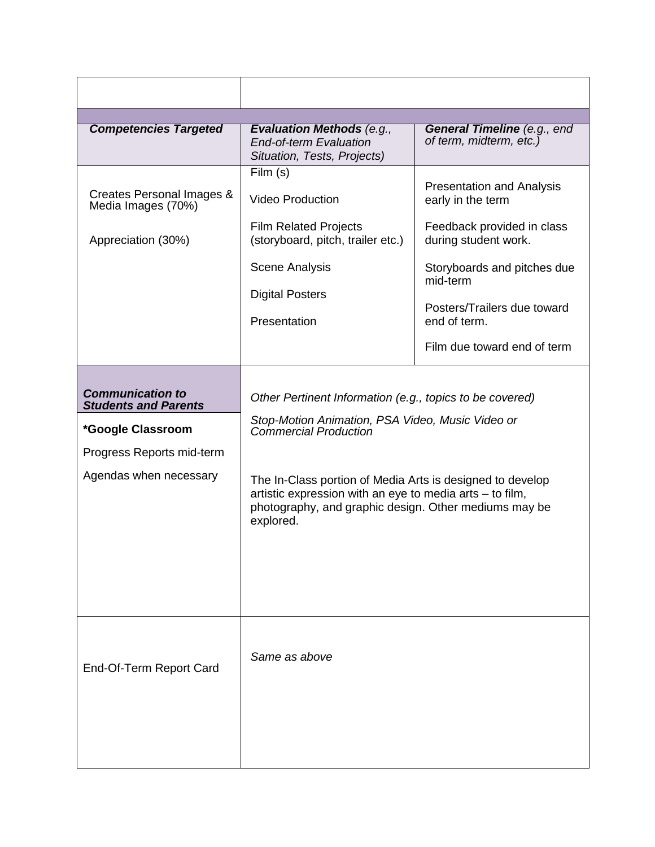| <b>Competencies Targeted</b>                                                                                                       | <b>Evaluation Methods (e.g.,</b><br><b>End-of-term Evaluation</b><br>Situation, Tests, Projects)                                                                                                                                                                                                                                            | General Timeline (e.g., end<br>of term, midterm, etc.)                                                                                                                                                                               |
|------------------------------------------------------------------------------------------------------------------------------------|---------------------------------------------------------------------------------------------------------------------------------------------------------------------------------------------------------------------------------------------------------------------------------------------------------------------------------------------|--------------------------------------------------------------------------------------------------------------------------------------------------------------------------------------------------------------------------------------|
| Creates Personal Images &<br>Media Images (70%)<br>Appreciation (30%)                                                              | Film (s)<br><b>Video Production</b><br><b>Film Related Projects</b><br>(storyboard, pitch, trailer etc.)<br><b>Scene Analysis</b><br><b>Digital Posters</b><br>Presentation                                                                                                                                                                 | <b>Presentation and Analysis</b><br>early in the term<br>Feedback provided in class<br>during student work.<br>Storyboards and pitches due<br>mid-term<br>Posters/Trailers due toward<br>end of term.<br>Film due toward end of term |
| <b>Communication to</b><br><b>Students and Parents</b><br>*Google Classroom<br>Progress Reports mid-term<br>Agendas when necessary | Other Pertinent Information (e.g., topics to be covered)<br>Stop-Motion Animation, PSA Video, Music Video or<br><b>Commercial Production</b><br>The In-Class portion of Media Arts is designed to develop<br>artistic expression with an eye to media arts - to film,<br>photography, and graphic design. Other mediums may be<br>explored. |                                                                                                                                                                                                                                      |
| End-Of-Term Report Card                                                                                                            | Same as above                                                                                                                                                                                                                                                                                                                               |                                                                                                                                                                                                                                      |